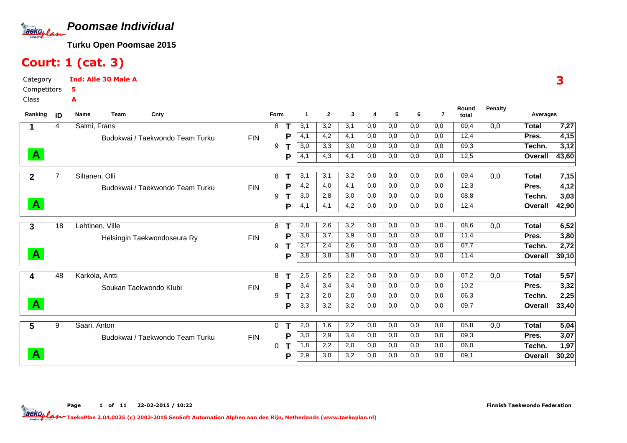

# Court: 1 (cat. 3)

Category CompetitorsClassInd: Alle 30 Male A5A

| Ranking      | ID | Cnty<br><b>Name</b><br>Team     |            | <b>Form</b> |   | 1                | $\mathbf{2}$ | 3   | 4   | 5   | 6   | $\overline{7}$ | Round<br>total | <b>Penalty</b> | Averages     |       |
|--------------|----|---------------------------------|------------|-------------|---|------------------|--------------|-----|-----|-----|-----|----------------|----------------|----------------|--------------|-------|
|              | 4  | Salmi, Frans                    |            | 8           |   | 3,1              | 3,2          | 3,1 | 0,0 | 0,0 | 0,0 | 0,0            | 09,4           | 0,0            | Total        | 7,27  |
|              |    | Budokwai / Taekwondo Team Turku | <b>FIN</b> |             | P | 4,1              | 4,2          | 4,1 | 0,0 | 0,0 | 0,0 | 0,0            | 12,4           |                | Pres.        | 4,15  |
|              |    |                                 |            | 9           |   | 3,0              | 3,3          | 3,0 | 0,0 | 0,0 | 0,0 | 0,0            | 09,3           |                | Techn.       | 3,12  |
| $\mathbf{A}$ |    |                                 |            |             | P | 4,1              | 4,3          | 4,1 | 0,0 | 0,0 | 0,0 | 0,0            | 12,5           |                | Overall      | 43,60 |
| $\mathbf{2}$ |    | Siltanen, Olli                  |            | 8           |   | 3,1              | 3,1          | 3,2 | 0,0 | 0,0 | 0,0 | 0,0            | 09,4           | 0,0            | <b>Total</b> | 7,15  |
|              |    | Budokwai / Taekwondo Team Turku | <b>FIN</b> |             | Р | 4,2              | 4,0          | 4,1 | 0,0 | 0,0 | 0,0 | 0,0            | 12,3           |                | Pres.        | 4,12  |
|              |    |                                 |            | 9           |   | $\overline{3,0}$ | 2.8          | 3,0 | 0,0 | 0,0 | 0,0 | 0,0            | 08,8           |                | Techn.       | 3,03  |
| $\mathbf{A}$ |    |                                 |            |             | P | 4,1              | 4,1          | 4,2 | 0,0 | 0,0 | 0,0 | 0,0            | 12,4           |                | Overall      | 42,90 |
| 3            | 18 | Lehtinen, Ville                 |            | 8           |   | 2,8              | 2,6          | 3,2 | 0,0 | 0,0 | 0,0 | 0,0            | 08,6           | 0,0            | <b>Total</b> | 6,52  |
|              |    | Helsingin Taekwondoseura Ry     | <b>FIN</b> |             | P | 3,8              | 3,7          | 3,9 | 0,0 | 0,0 | 0,0 | 0,0            | 11,4           |                | Pres.        | 3,80  |
|              |    |                                 |            | 9           |   | 2,7              | 2,4          | 2,6 | 0,0 | 0,0 | 0,0 | 0,0            | 07,7           |                | Techn.       | 2,72  |
| $\mathbf{A}$ |    |                                 |            |             | P | 3,8              | 3,8          | 3,8 | 0,0 | 0,0 | 0,0 | 0,0            | 11,4           |                | Overall      | 39,10 |
| 4            | 48 | Karkola, Antti                  |            | 8           |   | 2,5              | 2,5          | 2,2 | 0,0 | 0,0 | 0,0 | 0,0            | 07,2           | 0,0            | <b>Total</b> | 5,57  |
|              |    | Soukan Taekwondo Klubi          | <b>FIN</b> |             | P | 3,4              | 3,4          | 3,4 | 0,0 | 0,0 | 0,0 | 0,0            | 10,2           |                | Pres.        | 3,32  |
|              |    |                                 |            | 9           |   | 2,3              | 2,0          | 2,0 | 0,0 | 0,0 | 0,0 | 0,0            | 06,3           |                | Techn.       | 2,25  |
| $\mathbf{A}$ |    |                                 |            |             | P | 3,3              | 3,2          | 3,2 | 0,0 | 0,0 | 0,0 | 0,0            | 09,7           |                | Overall      | 33,40 |
| 5            | 9  | Saari, Anton                    |            | 0           |   | 2,0              | 1,6          | 2,2 | 0,0 | 0,0 | 0,0 | 0,0            | 05,8           | 0,0            | Total        | 5,04  |
|              |    | Budokwai / Taekwondo Team Turku | <b>FIN</b> |             | P | 3,0              | 2,9          | 3,4 | 0,0 | 0,0 | 0,0 | 0,0            | 09,3           |                | Pres.        | 3,07  |
|              |    |                                 |            | 0           |   | 1,8              | 2,2          | 2,0 | 0,0 | 0,0 | 0,0 | 0,0            | 06,0           |                | Techn.       | 1,97  |
| $\mathbf{A}$ |    |                                 |            |             |   | 2,9              | 3,0          | 3,2 | 0,0 | 0,0 | 0,0 | 0,0            | 09,1           |                | Overall      | 30,20 |

Page 1 of 11 22-02-2015 / 10:22

Finnish Taekwondo Federation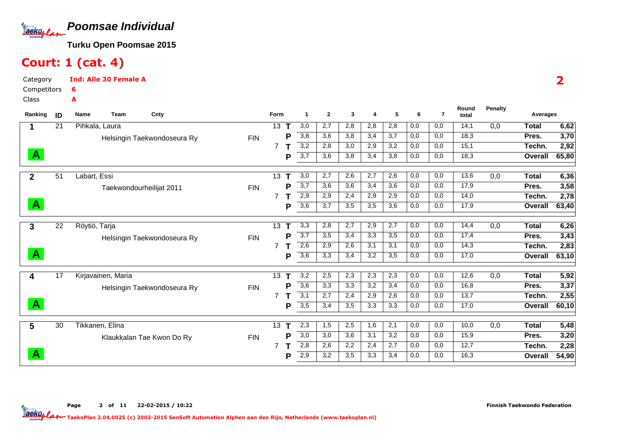

# Court: 1 (cat. 4)

Category CompetitorsInd: Alle 30 Female A6A

Class

| Ranking      | ID              | Name<br>Team              | Cnty                        |            | Form                 | $\mathbf{1}$          | $\mathbf{2}$ | 3   | 4   | 5   | 6   | $\overline{7}$ | Round<br>total | Penalty | Averages     |       |
|--------------|-----------------|---------------------------|-----------------------------|------------|----------------------|-----------------------|--------------|-----|-----|-----|-----|----------------|----------------|---------|--------------|-------|
|              | $\overline{21}$ | Pihkala, Laura            |                             |            | 13 <sup>°</sup><br>т | $\overline{3,0}$      | 2,7          | 2,8 | 2,8 | 2,8 | 0,0 | 0,0            | 14,1           | 0,0     | <b>Total</b> | 6,62  |
|              |                 |                           | Helsingin Taekwondoseura Ry | <b>FIN</b> |                      | 3,8<br>Р              | 3,6          | 3,8 | 3,4 | 3,7 | 0,0 | 0,0            | 18,3           |         | Pres.        | 3,70  |
|              |                 |                           |                             |            | $\overline{7}$       | 3,2                   | 2,8          | 3,0 | 2,9 | 3,2 | 0,0 | 0,0            | 15,1           |         | Techn.       | 2,92  |
| $\mathbf{A}$ |                 |                           |                             |            |                      | $\overline{3,7}$<br>Р | 3,6          | 3,8 | 3,4 | 3,8 | 0,0 | 0,0            | 18,3           |         | Overall      | 65,80 |
| $\mathbf{2}$ | 51              | Labart, Essi              |                             |            | 13<br>Т              | 3,0                   | 2,7          | 2,6 | 2,7 | 2,6 | 0,0 | 0,0            | 13,6           | 0,0     | <b>Total</b> | 6,36  |
|              |                 | Taekwondourheilijat 2011  |                             | <b>FIN</b> |                      | 3,7<br>Р              | 3,6          | 3,6 | 3,4 | 3,6 | 0,0 | 0,0            | 17,9           |         | Pres.        | 3,58  |
|              |                 |                           |                             |            | 7                    | 2,9                   | 2,9          | 2,4 | 2,9 | 2,9 | 0,0 | 0,0            | 14,0           |         | Techn.       | 2,78  |
| $\mathbf{A}$ |                 |                           |                             |            |                      | 3,6<br>Р              | 3,7          | 3,5 | 3,5 | 3,6 | 0,0 | 0,0            | 17,9           |         | Overall      | 63,40 |
| 3            | $\overline{22}$ | Röytiö, Tarja             |                             |            | 13                   | 3,3                   | 2,8          | 2,7 | 2,9 | 2,7 | 0,0 | 0,0            | 14,4           | 0,0     | <b>Total</b> | 6,26  |
|              |                 |                           | Helsingin Taekwondoseura Ry | <b>FIN</b> |                      | $\overline{3,7}$<br>P | 3,5          | 3,4 | 3,3 | 3,5 | 0,0 | 0,0            | 17,4           |         | Pres.        | 3,43  |
|              |                 |                           |                             |            | 7                    | 2,6                   | 2,9          | 2,6 | 3,1 | 3,1 | 0,0 | 0,0            | 14,3           |         | Techn.       | 2,83  |
| <b>A</b>     |                 |                           |                             |            |                      | $\overline{3,6}$<br>Р | 3,3          | 3,4 | 3,2 | 3,5 | 0,0 | 0,0            | 17,0           |         | Overall      | 63,10 |
| 4            | 17              | Kirjavainen, Maria        |                             |            | 13                   | $\overline{3,2}$      | 2,5          | 2,3 | 2,3 | 2,3 | 0,0 | 0,0            | 12,6           | 0,0     | <b>Total</b> | 5,92  |
|              |                 |                           | Helsingin Taekwondoseura Ry | <b>FIN</b> |                      | 3,6<br>Р              | 3,3          | 3,3 | 3,2 | 3,4 | 0,0 | 0,0            | 16,8           |         | Pres.        | 3,37  |
|              |                 |                           |                             |            | 7                    | 3,1                   | 2,7          | 2,4 | 2,9 | 2,6 | 0,0 | 0,0            | 13,7           |         | Techn.       | 2,55  |
| $\mathbf{A}$ |                 |                           |                             |            |                      | $\overline{3,5}$<br>Р | 3,4          | 3,5 | 3,3 | 3,3 | 0,0 | 0,0            | 17,0           |         | Overall      | 60,10 |
| 5            | 30              | Tikkanen, Elina           |                             |            | 13 <sup>°</sup>      | 2,3                   | 1,5          | 2,5 | 1,6 | 2,1 | 0,0 | 0,0            | 10,0           | 0,0     | <b>Total</b> | 5,48  |
|              |                 | Klaukkalan Tae Kwon Do Ry |                             | <b>FIN</b> |                      | 3,0<br>P              | 3,0          | 3,6 | 3,1 | 3,2 | 0,0 | 0,0            | 15,9           |         | Pres.        | 3,20  |
|              |                 |                           |                             |            | 7                    | 2,8                   | 2,6          | 2,2 | 2,4 | 2,7 | 0,0 | 0,0            | 12,7           |         | Techn.       | 2,28  |
| A            |                 |                           |                             |            |                      | 2,9<br>Р              | 3,2          | 3,5 | 3,3 | 3,4 | 0,0 | 0,0            | 16,3           |         | Overall      | 54,90 |

2

Page 2 of 11 22-02-2015 / 10:22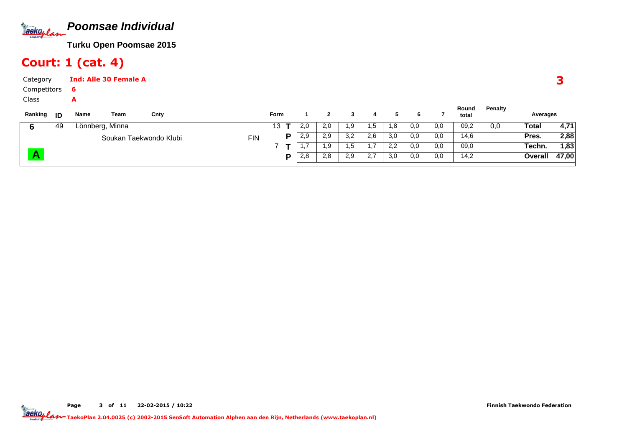

# Court: 1 (cat. 4)

| Category    |    |      | <b>Ind: Alle 30 Female A</b> |                        |            |             |          |     |     |     |     |     |     |                |         |          | Э     |
|-------------|----|------|------------------------------|------------------------|------------|-------------|----------|-----|-----|-----|-----|-----|-----|----------------|---------|----------|-------|
| Competitors |    | 6    |                              |                        |            |             |          |     |     |     |     |     |     |                |         |          |       |
| Class       |    | A    |                              |                        |            |             |          |     |     |     |     |     |     |                |         |          |       |
| Ranking     | ID | Name | Team                         | Cnty                   |            | <b>Form</b> |          | 2   | 3   | 4   | 5   | 6   |     | Round<br>total | Penalty | Averages |       |
| 6           | 49 |      | Lönnberg, Minna              |                        |            | 13          | 2,0      | 2,0 | 1.9 | 1,5 | 1,8 | 0,0 | 0,0 | 09,2           | 0,0     | Total    | 4,71  |
|             |    |      |                              | Soukan Taekwondo Klubi | <b>FIN</b> |             | 2,9<br>P | 2,9 | 3,2 | 2,6 | 3,0 | 0,0 | 0,0 | 14,6           |         | Pres.    | 2,88  |
|             |    |      |                              |                        |            |             | 1,7      | 1,9 | 1,5 | 1,7 | 2,2 | 0,0 | 0,0 | 09,0           |         | Techn.   | 1,83  |
|             |    |      |                              |                        |            |             | 2,8<br>P | 2,8 | 2,9 | 2,7 | 3,0 | 0,0 | 0,0 | 14,2           |         | Overall  | 47,00 |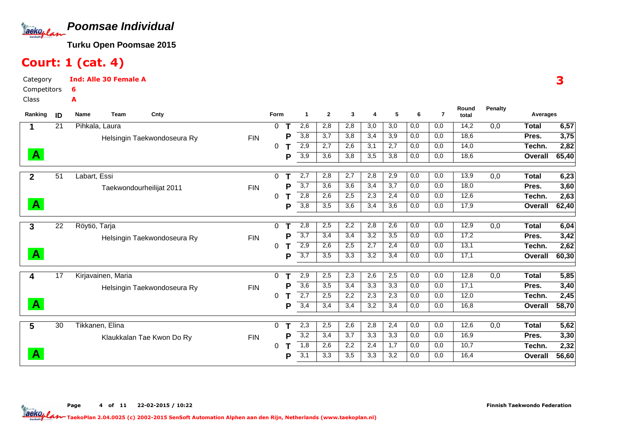

# Court: 1 (cat. 4)

Category CompetitorsInd: Alle 30 Female A6A

Class

| Ranking      | ID              | Name<br>Cnty<br>Team        |            | <b>Form</b>  |   | 1                | $\mathbf{2}$ | 3   | 4   | 5   | 6   | $\overline{7}$ | Round<br>total | <b>Penalty</b> | Averages     |       |
|--------------|-----------------|-----------------------------|------------|--------------|---|------------------|--------------|-----|-----|-----|-----|----------------|----------------|----------------|--------------|-------|
|              | $\overline{21}$ | Pihkala, Laura              |            | 0            |   | 2,6              | 2,8          | 2,8 | 3,0 | 3,0 | 0,0 | 0,0            | 14,2           | 0,0            | Total        | 6,57  |
|              |                 | Helsingin Taekwondoseura Ry | <b>FIN</b> |              | Р | 3,8              | 3,7          | 3,8 | 3,4 | 3,9 | 0,0 | 0,0            | 18,6           |                | Pres.        | 3,75  |
|              |                 |                             |            | 0            |   | 2,9              | 2,7          | 2,6 | 3,1 | 2,7 | 0,0 | 0,0            | 14,0           |                | Techn.       | 2,82  |
| $\mathbf{A}$ |                 |                             |            |              | Р | $\overline{3,9}$ | 3,6          | 3,8 | 3,5 | 3,8 | 0,0 | 0,0            | 18,6           |                | Overall      | 65,40 |
| $\mathbf{2}$ | 51              | Labart, Essi                |            | 0            |   | 2,7              | 2,8          | 2,7 | 2,8 | 2,9 | 0,0 | 0,0            | 13,9           | 0,0            | <b>Total</b> | 6,23  |
|              |                 | Taekwondourheilijat 2011    | <b>FIN</b> |              |   | 3,7              | 3,6          | 3,6 | 3,4 | 3,7 | 0,0 | 0,0            | 18,0           |                | Pres.        | 3,60  |
|              |                 |                             |            | 0            |   | 2,8              | 2,6          | 2,5 | 2,3 | 2,4 | 0,0 | 0,0            | 12,6           |                | Techn.       | 2,63  |
| $\mathbf{A}$ |                 |                             |            |              | Р | 3,8              | 3,5          | 3,6 | 3,4 | 3,6 | 0,0 | 0,0            | 17,9           |                | Overall      | 62,40 |
| 3            | 22              | Röytiö, Tarja               |            | $\mathbf{0}$ | т | 2,8              | 2,5          | 2,2 | 2,8 | 2,6 | 0,0 | 0,0            | 12,9           | 0,0            | <b>Total</b> | 6,04  |
|              |                 | Helsingin Taekwondoseura Ry | <b>FIN</b> |              | Р | 3,7              | 3,4          | 3,4 | 3,2 | 3,5 | 0,0 | 0,0            | 17,2           |                | Pres.        | 3,42  |
|              |                 |                             |            | 0            |   | 2,9              | 2,6          | 2,5 | 2,7 | 2,4 | 0,0 | 0,0            | 13,1           |                | Techn.       | 2,62  |
| $\mathbf{A}$ |                 |                             |            |              | Р | 3,7              | 3,5          | 3,3 | 3,2 | 3,4 | 0,0 | 0,0            | 17,1           |                | Overall      | 60,30 |
| 4            | 17              | Kirjavainen, Maria          |            | $\Omega$     |   | 2,9              | 2,5          | 2,3 | 2,6 | 2,5 | 0,0 | 0,0            | 12,8           | 0,0            | <b>Total</b> | 5,85  |
|              |                 | Helsingin Taekwondoseura Ry | <b>FIN</b> |              | Р | $\overline{3,6}$ | 3,5          | 3,4 | 3,3 | 3,3 | 0,0 | 0,0            | 17,1           |                | Pres.        | 3,40  |
|              |                 |                             |            | 0            |   | 2,7              | 2,5          | 2,2 | 2,3 | 2,3 | 0,0 | 0,0            | 12,0           |                | Techn.       | 2,45  |
| $\mathbf{A}$ |                 |                             |            |              | Р | 3,4              | 3,4          | 3,4 | 3,2 | 3,4 | 0,0 | 0,0            | 16,8           |                | Overall      | 58,70 |
| 5            | $\overline{30}$ | Tikkanen, Elina             |            | 0            |   | 2,3              | 2,5          | 2,6 | 2,8 | 2,4 | 0,0 | 0,0            | 12,6           | 0,0            | <b>Total</b> | 5,62  |
|              |                 | Klaukkalan Tae Kwon Do Ry   | <b>FIN</b> |              | Р | 3,2              | 3,4          | 3,7 | 3,3 | 3,3 | 0,0 | 0,0            | 16,9           |                | Pres.        | 3,30  |
|              |                 |                             |            | 0            |   | 1,8              | 2,6          | 2,2 | 2,4 | 1,7 | 0,0 | 0,0            | 10,7           |                | Techn.       | 2,32  |
| $\mathbf{A}$ |                 |                             |            |              | Р | 3,1              | 3,3          | 3,5 | 3,3 | 3,2 | 0,0 | 0,0            | 16,4           |                | Overall      | 56,60 |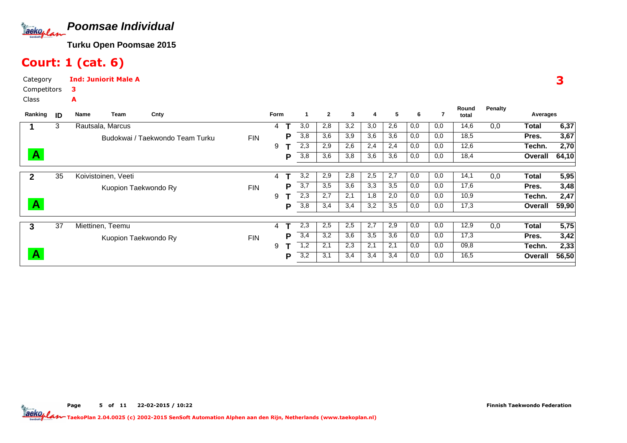

# Court: 1 (cat. 6)

Category CompetitorsInd: Juniorit Male A3A

Class

| Ranking      | ID | Cnty<br>Team<br>Name            |            | Form |   | 1   | $\overline{2}$ | 3   | 4   | 5   | 6   | 7   | Round<br>total | Penalty | Averages |       |
|--------------|----|---------------------------------|------------|------|---|-----|----------------|-----|-----|-----|-----|-----|----------------|---------|----------|-------|
|              | 3  | Rautsala, Marcus                |            | 4    |   | 3,0 | 2,8            | 3,2 | 3,0 | 2,6 | 0,0 | 0,0 | 14,6           | 0,0     | Total    | 6,37  |
|              |    | Budokwai / Taekwondo Team Turku | <b>FIN</b> |      | P | 3,8 | 3,6            | 3,9 | 3,6 | 3,6 | 0,0 | 0,0 | 18,5           |         | Pres.    | 3,67  |
|              |    |                                 |            | 9    |   | 2,3 | 2,9            | 2,6 | 2,4 | 2,4 | 0,0 | 0,0 | 12,6           |         | Techn.   | 2,70  |
| $\mathbf{A}$ |    |                                 |            |      | P | 3,8 | 3,6            | 3,8 | 3,6 | 3,6 | 0,0 | 0,0 | 18,4           |         | Overall  | 64,10 |
|              | 35 | Koivistoinen, Veeti             |            | 4    |   | 3,2 | 2,9            | 2,8 | 2,5 | 2,7 | 0,0 | 0,0 | 14,1           | 0,0     | Total    | 5,95  |
|              |    | Kuopion Taekwondo Ry            | <b>FIN</b> |      | Р | 3,7 | 3,5            | 3,6 | 3,3 | 3,5 | 0,0 | 0,0 | 17,6           |         | Pres.    | 3,48  |
|              |    |                                 |            | 9    |   | 2,3 | 2,7            | 2,1 | 1,8 | 2,0 | 0,0 | 0,0 | 10,9           |         | Techn.   | 2,47  |
| $\mathbf{A}$ |    |                                 |            |      | P | 3,8 | 3,4            | 3,4 | 3,2 | 3,5 | 0,0 | 0,0 | 17,3           |         | Overall  | 59,90 |
|              | 37 | Miettinen, Teemu                |            | 4    |   | 2,3 | 2,5            | 2,5 | 2,7 | 2,9 | 0,0 | 0,0 | 12,9           | 0,0     | Total    | 5,75  |
| 3            |    |                                 |            |      | D | 3,4 | 3,2            | 3,6 | 3,5 | 3,6 | 0,0 | 0,0 | 17,3           |         |          |       |
|              |    | Kuopion Taekwondo Ry            | <b>FIN</b> |      |   |     |                |     |     |     |     |     |                |         | Pres.    | 3,42  |
|              |    |                                 |            | 9    |   | 1,2 | 2,1            | 2,3 | 2,1 | 2,1 | 0,0 | 0,0 | 09,8           |         | Techn.   | 2,33  |
| Α            |    |                                 |            |      | P | 3,2 | 3,1            | 3,4 | 3,4 | 3,4 | 0,0 | 0,0 | 16,5           |         | Overall  | 56,50 |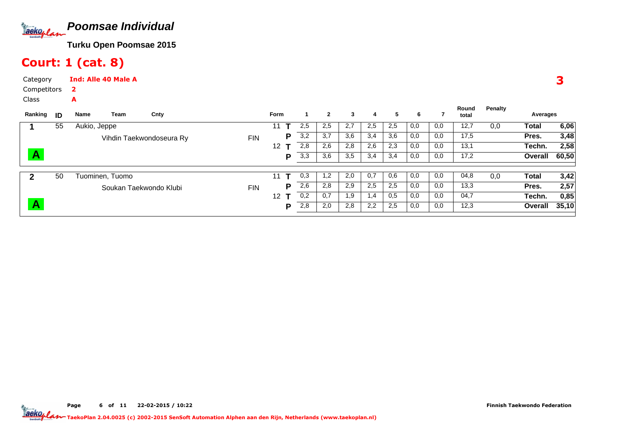

# Court: 1 (cat. 8)

A

Category CompetitorsInd: Alle 40 Male A2

Class

| Ranking                 | ID | Name         | Team            | Cnty                     |            | <b>Form</b> |     | 2   | 3   | 4   | 5   | 6   |     | Round<br>total | Penalty | Averages |       |
|-------------------------|----|--------------|-----------------|--------------------------|------------|-------------|-----|-----|-----|-----|-----|-----|-----|----------------|---------|----------|-------|
|                         | 55 | Aukio, Jeppe |                 |                          |            | 11          | 2,5 | 2,5 | 2,7 | 2,5 | 2,5 | 0,0 | 0,0 | 12,7           | 0,0     | Total    | 6,06  |
|                         |    |              |                 | Vihdin Taekwondoseura Ry | <b>FIN</b> | P           | 3,2 | 3,7 | 3,6 | 3,4 | 3,6 | 0,0 | 0,0 | 17,5           |         | Pres.    | 3,48  |
|                         |    |              |                 |                          |            | 12          | 2,8 | 2,6 | 2,8 | 2,6 | 2,3 | 0,0 | 0,0 | 13,1           |         | Techn.   | 2,58  |
| $\blacktriangle$        |    |              |                 |                          |            | P           | 3,3 | 3,6 | 3,5 | 3,4 | 3,4 | 0,0 | 0,0 | 17,2           |         | Overall  | 60,50 |
|                         | 50 |              | Tuominen, Tuomo |                          |            | 11          | 0,3 | 1,2 | 2,0 | 0,7 | 0,6 | 0,0 | 0,0 | 04,8           | 0,0     | Total    | 3,42  |
|                         |    |              |                 | Soukan Taekwondo Klubi   | <b>FIN</b> | Р           | 2,6 | 2,8 | 2,9 | 2,5 | 2,5 | 0,0 | 0,0 | 13,3           |         | Pres.    | 2,57  |
|                         |    |              |                 |                          |            | 12          | 0,2 | 0,7 | 1,9 | 1,4 | 0.5 | 0,0 | 0,0 | 04,7           |         | Techn.   | 0,85  |
| $\overline{\mathsf{A}}$ |    |              |                 |                          |            | Р           | 2,8 | 2,0 | 2,8 | 2,2 | 2,5 | 0,0 | 0,0 | 12,3           |         | Overall  | 35,10 |

3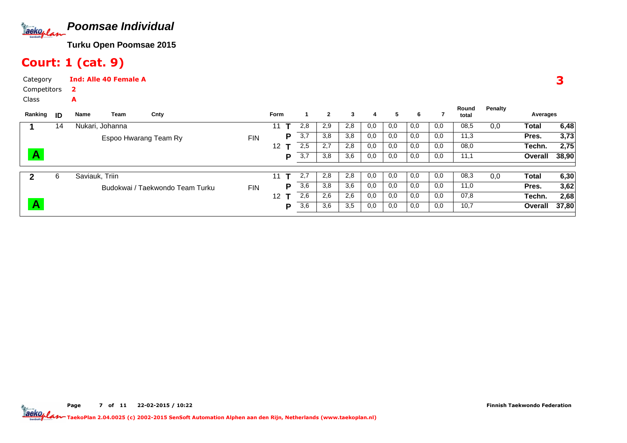

# Court: 1 (cat. 9)

A

Category CompetitorsInd: Alle 40 Female A2

Class

| Ranking | ID | Name           | Team                  | Cnty                            |            | Form |   |     | $\mathbf{2}$ | 3   | 4   | 5   | 6   |     | Round<br>total | Penalty | Averages |       |
|---------|----|----------------|-----------------------|---------------------------------|------------|------|---|-----|--------------|-----|-----|-----|-----|-----|----------------|---------|----------|-------|
|         | 14 |                | Nukari, Johanna       |                                 |            | 11   |   | 2,8 | 2,9          | 2,8 | 0,0 | 0,0 | 0,0 | 0,0 | 08,5           | 0,0     | Total    | 6,48  |
|         |    |                | Espoo Hwarang Team Ry |                                 | <b>FIN</b> |      | P | 3,7 | 3,8          | 3,8 | 0,0 | 0,0 | 0,0 | 0,0 | 11,3           |         | Pres.    | 3,73  |
|         |    |                |                       |                                 |            | 12   |   | 2,5 | 2,7          | 2,8 | 0,0 | 0,0 | 0,0 | 0,0 | 08,0           |         | Techn.   | 2,75  |
| A       |    |                |                       |                                 |            |      | P | 3,7 | 3,8          | 3,6 | 0,0 | 0,0 | 0,0 | 0,0 | 11,1           |         | Overall  | 38,90 |
|         | 6  | Saviauk, Triin |                       |                                 |            | 11   |   | 2,7 | 2,8          | 2,8 | 0,0 | 0,0 | 0,0 | 0,0 | 08,3           | 0,0     | Total    | 6,30  |
|         |    |                |                       | Budokwai / Taekwondo Team Turku | <b>FIN</b> |      | Р | 3,6 | 3,8          | 3,6 | 0,0 | 0,0 | 0,0 | 0,0 | 11,0           |         | Pres.    | 3,62  |
|         |    |                |                       |                                 |            | 12   |   | 2,6 | 2,6          | 2,6 | 0,0 | 0,0 | 0,0 | 0,0 | 07,8           |         | Techn.   | 2,68  |
| A       |    |                |                       |                                 |            |      | P | 3,6 | 3,6          | 3,5 | 0,0 | 0,0 | 0,0 | 0,0 | 10,7           |         | Overall  | 37,80 |

3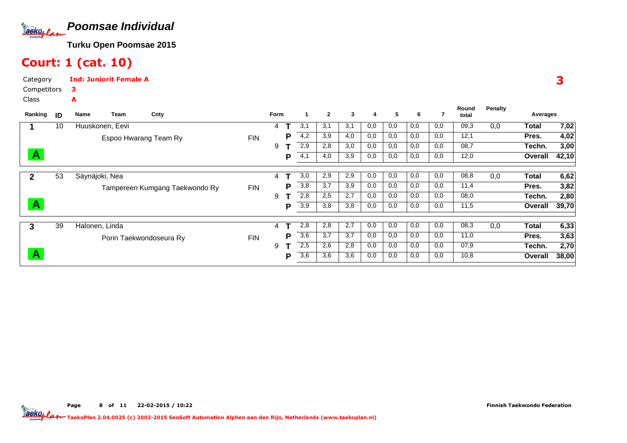

#### Court: 1 (cat. 10)

Category CompetitorsInd: Juniorit Female A3A

Class

| Ranking      | ID | Name<br>Team    | Cnty                           |            | <b>Form</b>    |   |                  | $\mathbf{2}$ | 3   | 4   | 5   | 6   | 7   | Round<br>total | Penalty | Averages     |       |
|--------------|----|-----------------|--------------------------------|------------|----------------|---|------------------|--------------|-----|-----|-----|-----|-----|----------------|---------|--------------|-------|
|              | 10 | Huuskonen, Eevi |                                |            | 4              |   | 3,1              | 3,1          | 3,1 | 0,0 | 0,0 | 0,0 | 0,0 | 09,3           | 0,0     | Total        | 7,02  |
|              |    |                 | Espoo Hwarang Team Ry          | <b>FIN</b> |                | D | 4,2              | 3,9          | 4,0 | 0,0 | 0,0 | 0,0 | 0,0 | 12,1           |         | Pres.        | 4,02  |
|              |    |                 |                                |            | 9              |   | 2,9              | 2,8          | 3,0 | 0,0 | 0,0 | 0,0 | 0,0 | 08,7           |         | Techn.       | 3,00  |
| $\mathbf{A}$ |    |                 |                                |            |                | Р | 4,1              | 4,0          | 3,9 | 0,0 | 0,0 | 0,0 | 0,0 | 12,0           |         | Overall      | 42,10 |
|              | 53 | Säynäjoki, Nea  |                                |            | 4              |   | 3,0              | 2,9          | 2,9 | 0,0 | 0,0 | 0,0 | 0,0 | 08,8           | 0,0     | <b>Total</b> | 6,62  |
| $\mathbf{2}$ |    |                 |                                |            |                |   |                  |              |     |     |     |     |     |                |         |              |       |
|              |    |                 | Tampereen Kumgang Taekwondo Ry | <b>FIN</b> |                | Р | 3,8              | 3,7          | 3,9 | 0,0 | 0,0 | 0,0 | 0,0 | 11,4           |         | Pres.        | 3,82  |
|              |    |                 |                                |            | 9              |   | 2,8              | 2,5          | 2,7 | 0,0 | 0,0 | 0,0 | 0,0 | 08,0           |         | Techn.       | 2,80  |
| A            |    |                 |                                |            |                | D | 3,9              | 3,8          | 3,8 | 0,0 | 0,0 | 0,0 | 0,0 | 11,5           |         | Overall      | 39,70 |
|              |    |                 |                                |            |                |   |                  |              |     |     |     |     |     |                |         |              |       |
| 3            | 39 | Halonen, Linda  |                                |            | $\overline{4}$ |   | 2,8              | 2,8          | 2,7 | 0,0 | 0,0 | 0,0 | 0,0 | 08,3           | 0,0     | Total        | 6,33  |
|              |    |                 | Porin Taekwondoseura Ry        | <b>FIN</b> |                | D | 3,6              | 3,7          | 3,7 | 0,0 | 0,0 | 0,0 | 0,0 | 11,0           |         | Pres.        | 3,63  |
|              |    |                 |                                |            | 9              |   | 2,5              | 2,6          | 2,8 | 0,0 | 0,0 | 0,0 | 0,0 | 07,9           |         | Techn.       | 2,70  |
| A            |    |                 |                                |            |                | P | $\overline{3,6}$ | 3,6          | 3,6 | 0,0 | 0,0 | 0,0 | 0,0 | 10,8           |         | Overall      | 38,00 |

Page 8 of 11 22-02-2015 / 10:22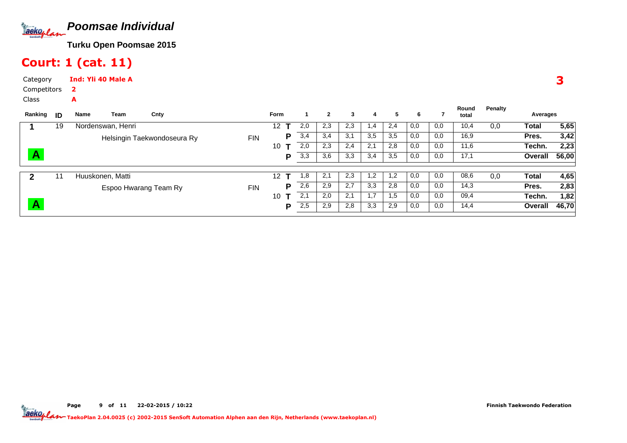

# Court: 1 (cat. 11)

Category CompetitorsInd: Yli 40 Male A2

A

Class

| Ranking | - ID | Name             | Team              | Cnty                        |            | Form            |     | $\mathbf{2}$ | 3   | 4             | 5   | 6   |     | Round<br>total | Penalty | Averages     |       |
|---------|------|------------------|-------------------|-----------------------------|------------|-----------------|-----|--------------|-----|---------------|-----|-----|-----|----------------|---------|--------------|-------|
|         | 19   |                  | Nordenswan, Henri |                             |            | 12 <sup>°</sup> | 2,0 | 2,3          | 2,3 | 1.4           | 2,4 | 0.0 | 0,0 | 10,4           | 0,0     | <b>Total</b> | 5,65  |
|         |      |                  |                   | Helsingin Taekwondoseura Ry | <b>FIN</b> | P               | 3,4 | 3,4          | 3,1 | 3,5           | 3,5 | 0,0 | 0,0 | 16,9           |         | Pres.        | 3,42  |
|         |      |                  |                   |                             |            | 10              | 2,0 | 2,3          | 2,4 | 2,1           | 2,8 | 0,0 | 0,0 | 11,6           |         | Techn.       | 2,23  |
|         |      |                  |                   |                             |            | D               | 3,3 | 3,6          | 3,3 | 3,4           | 3,5 | 0,0 | 0,0 | 17,1           |         | Overall      | 56,00 |
|         | 11   | Huuskonen, Matti |                   |                             |            | 12 <sup>°</sup> | 1,8 | 2,1          | 2,3 | $\mathsf{.2}$ | 1,2 | 0,0 | 0,0 | 08,6           | 0,0     | Total        | 4,65  |
|         |      |                  |                   | Espoo Hwarang Team Ry       | <b>FIN</b> | D               | 2,6 | 2,9          | 2,7 | 3,3           | 2,8 | 0,0 | 0,0 | 14,3           |         | Pres.        | 2,83  |
|         |      |                  |                   |                             |            | 10              | 2,1 | 2,0          | 2,1 |               | 1,5 | 0,0 | 0,0 | 09,4           |         | Techn.       | 1,82  |
|         |      |                  |                   |                             |            | D               | 2,5 | 2,9          | 2,8 | 3,3           | 2,9 | 0,0 | 0,0 | 14,4           |         | Overall      | 46,70 |

Page 9 of 11 22-02-2015 / 10:22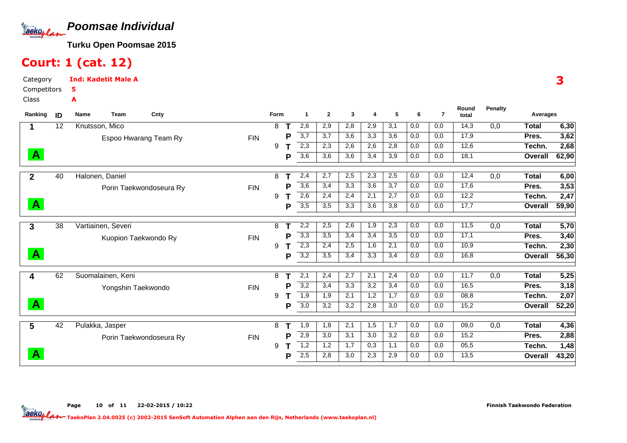

#### Court: 1 (cat. 12)

Category CompetitorsClassInd: Kadetit Male A5A

| Ranking                 | ID              | Name<br>Cnty<br><b>Team</b> |            | Form |   | 1                | $\mathbf{2}$ | 3   | 4   | 5   | 6   | $\overline{7}$ | Round<br>total    | <b>Penalty</b> | Averages       |       |
|-------------------------|-----------------|-----------------------------|------------|------|---|------------------|--------------|-----|-----|-----|-----|----------------|-------------------|----------------|----------------|-------|
|                         | $\overline{12}$ | Knutsson, Mico              |            | 8    |   | 2,6              | 2,9          | 2,8 | 2,9 | 3,1 | 0,0 | 0,0            | 14,3              | 0,0            | <b>Total</b>   | 6,30  |
|                         |                 | Espoo Hwarang Team Ry       | <b>FIN</b> |      | P | $\overline{3,7}$ | 3,7          | 3,6 | 3,3 | 3,6 | 0,0 | 0,0            | 17,9              |                | Pres.          | 3,62  |
|                         |                 |                             |            | 9    |   | 2,3              | 2,3          | 2,6 | 2,6 | 2,8 | 0,0 | 0,0            | 12,6              |                | Techn.         | 2,68  |
| $\mathbf{A}$            |                 |                             |            |      | P | 3,6              | 3,6          | 3,6 | 3,4 | 3,9 | 0,0 | 0,0            | 18,1              |                | Overall        | 62,90 |
| $\mathbf{2}$            | 40              | Halonen, Daniel             |            | 8    |   | 2,4              | 2,7          | 2,5 | 2,3 | 2,5 | 0,0 | 0,0            | 12,4              | 0,0            | <b>Total</b>   | 6,00  |
|                         |                 | Porin Taekwondoseura Ry     | <b>FIN</b> |      | Р | 3,6              | 3,4          | 3,3 | 3,6 | 3,7 | 0,0 | 0,0            | 17,6              |                | Pres.          | 3,53  |
|                         |                 |                             |            | 9    |   | 2,6              | 2,4          | 2,4 | 2,1 | 2,7 | 0,0 | 0,0            | 12,2              |                | Techn.         | 2,47  |
| $\mathbf{A}$            |                 |                             |            |      | Р | 3,5              | 3,5          | 3,3 | 3,6 | 3,8 | 0,0 | 0,0            | $\overline{17,7}$ |                | Overall        | 59,90 |
| 3                       | 38              | Vartiainen, Severi          |            | 8    |   | 2,2              | 2,5          | 2,6 | 1,9 | 2,3 | 0,0 | 0,0            | 11,5              | 0,0            | <b>Total</b>   | 5,70  |
|                         |                 | Kuopion Taekwondo Ry        | <b>FIN</b> |      | P | 3,3              | 3,5          | 3,4 | 3,4 | 3,5 | 0,0 | 0,0            | 17,1              |                | Pres.          | 3,40  |
|                         |                 |                             |            | 9    |   | $\overline{2,3}$ | 2,4          | 2,5 | 1,6 | 2,1 | 0,0 | 0,0            | 10,9              |                | Techn.         | 2,30  |
| $\mathbf{A}$            |                 |                             |            |      | P | $\overline{3,2}$ | 3,5          | 3,4 | 3,3 | 3,4 | 0,0 | 0,0            | 16,8              |                | <b>Overall</b> | 56,30 |
| $\overline{\mathbf{4}}$ | 62              | Suomalainen, Keni           |            | 8    |   | $\overline{2,1}$ | 2,4          | 2,7 | 2,1 | 2,4 | 0,0 | 0,0            | 11,7              | 0,0            | <b>Total</b>   | 5,25  |
|                         |                 | Yongshin Taekwondo          | <b>FIN</b> |      | P | $\overline{3,2}$ | 3,4          | 3,3 | 3,2 | 3,4 | 0,0 | 0,0            | 16,5              |                | Pres.          | 3,18  |
|                         |                 |                             |            | 9    |   | 1,9              | 1,9          | 2,1 | 1,2 | 1,7 | 0,0 | 0,0            | 08,8              |                | Techn.         | 2,07  |
| $\mathbf{A}$            |                 |                             |            |      | P | 3,0              | 3,2          | 3,2 | 2,8 | 3,0 | 0,0 | 0,0            | 15,2              |                | <b>Overall</b> | 52,20 |
| 5                       | 42              | Pulakka, Jasper             |            | 8    |   | 1,9              | 1,8          | 2,1 | 1,5 | 1,7 | 0,0 | 0,0            | 09,0              | 0,0            | <b>Total</b>   | 4,36  |
|                         |                 | Porin Taekwondoseura Ry     | <b>FIN</b> |      | Р | 2,9              | 3,0          | 3,1 | 3,0 | 3,2 | 0,0 | 0,0            | 15,2              |                | Pres.          | 2,88  |
|                         |                 |                             |            | 9    |   | 1,2              | 1,2          | 1,7 | 0,3 | 1,1 | 0,0 | 0,0            | 05,5              |                | Techn.         | 1,48  |
| $\mathbf{A}$            |                 |                             |            |      | Р | 2,5              | 2,8          | 3,0 | 2,3 | 2,9 | 0,0 | 0,0            | 13,5              |                | Overall        | 43,20 |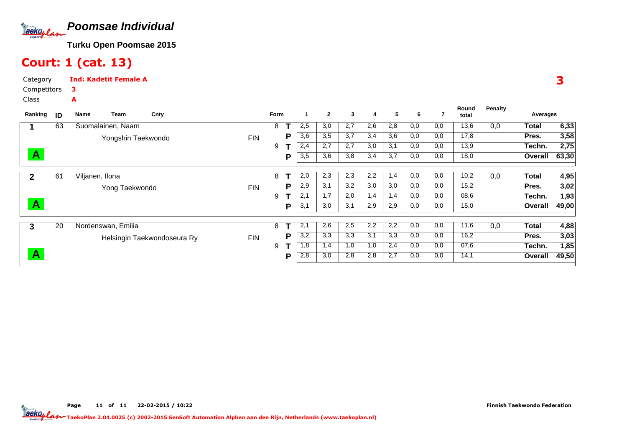

#### Court: 1 (cat. 13)

Category CompetitorsClassInd: Kadetit Female A3A

| Ranking      | ID | Name            | Team               | Cnty                        |            | Form |     | -1  | $\mathbf{2}$ | 3   | 4   | 5   | 6   |      | Round<br>total | <b>Penalty</b> | Averages |       |
|--------------|----|-----------------|--------------------|-----------------------------|------------|------|-----|-----|--------------|-----|-----|-----|-----|------|----------------|----------------|----------|-------|
|              |    |                 |                    |                             |            |      |     |     |              |     |     |     |     |      |                |                |          |       |
|              | 63 |                 | Suomalainen, Naam  |                             |            | 8    |     | 2,5 | 3,0          | 2,7 | 2,6 | 2,8 | 0,0 | 0,0  | 13,6           | 0,0            | Total    | 6,33  |
|              |    |                 | Yongshin Taekwondo |                             | <b>FIN</b> |      | Р   | 3,6 | 3,5          | 3,7 | 3,4 | 3,6 | 0,0 | 0,0  | 17,8           |                | Pres.    | 3,58  |
|              |    |                 |                    |                             |            | 9    |     | 2,4 | 2,7          | 2,7 | 3,0 | 3,1 | 0,0 | 0,0  | 13,9           |                | Techn.   | 2,75  |
| $\mathbf{A}$ |    |                 |                    |                             |            |      | P   | 3,5 | 3,6          | 3,8 | 3,4 | 3,7 | 0,0 | 0,0  | 18,0           |                | Overall  | 63,30 |
|              |    |                 |                    |                             |            |      |     |     |              |     |     |     |     |      |                |                |          |       |
| $\mathbf{2}$ | 61 | Viljanen, Ilona |                    |                             |            | 8    |     | 2,0 | 2,3          | 2,3 | 2,2 | 1,4 | 0,0 | 0,0  | 10,2           | 0,0            | Total    | 4,95  |
|              |    |                 | Yong Taekwondo     |                             | <b>FIN</b> |      | Р   | 2,9 | 3,1          | 3,2 | 3,0 | 3,0 | 0,0 | 0,0  | 15,2           |                | Pres.    | 3,02  |
|              |    |                 |                    |                             |            | 9    |     | 2,1 | 1.7          | 2,0 | 1,4 | 1,4 | 0,0 | 0,0  | 08,6           |                | Techn.   | 1,93  |
| $\mathbf{A}$ |    |                 |                    |                             |            |      | P   | 3,1 | 3,0          | 3,1 | 2,9 | 2,9 | 0,0 | 0,0  | 15,0           |                | Overall  | 49,00 |
|              |    |                 |                    |                             |            |      |     |     |              |     |     |     |     |      |                |                |          |       |
| 3            | 20 |                 | Nordenswan, Emilia |                             |            | 8    |     | 2,1 | 2,6          | 2,5 | 2,2 | 2,2 | 0,0 | 0,0  | 11,6           | 0,0            | Total    | 4,88  |
|              |    |                 |                    | Helsingin Taekwondoseura Ry | <b>FIN</b> |      | P   | 3,2 | 3,3          | 3,3 | 3,1 | 3,3 | 0,0 | 0,0  | 16,2           |                | Pres.    | 3,03  |
|              |    |                 |                    |                             |            | 9    |     | 1,8 | 1,4          | 1,0 | 1,0 | 2,4 | 0,0 | 0,0  | 07,6           |                | Techn.   | 1,85  |
| $\mathbf{A}$ |    |                 |                    |                             |            | P    | 2,8 | 3,0 | 2,8          | 2,8 | 2,7 | 0,0 | 0,0 | 14,1 |                | Overall        | 49,50    |       |

3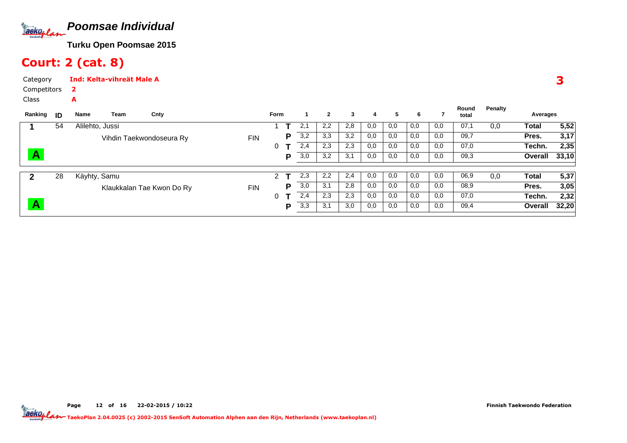

# Court: 2 (cat. 8)

A

CategoryInd: Kelta-vihreät Male A2

Competitors

Class

| Ranking | ID | Name            | Team | Cnty                      |            | <b>Form</b>    |   |     | $\mathbf{2}$ | 3   | 4   | 5   | 6   |     | Round<br>total | Penalty | Averages |       |
|---------|----|-----------------|------|---------------------------|------------|----------------|---|-----|--------------|-----|-----|-----|-----|-----|----------------|---------|----------|-------|
|         | 54 | Alilehto, Jussi |      |                           |            |                |   | 2,1 | 2,2          | 2,8 | 0,0 | 0,0 | 0,0 | 0,0 | 07,1           | 0,0     | Total    | 5,52  |
|         |    |                 |      | Vihdin Taekwondoseura Ry  | <b>FIN</b> |                | D | 3,2 | 3,3          | 3,2 | 0,0 | 0,0 | 0,0 | 0,0 | 09,7           |         | Pres.    | 3,17  |
|         |    |                 |      |                           |            | 0              |   | 2,4 | 2,3          | 2,3 | 0,0 | 0,0 | 0,0 | 0,0 | 07,0           |         | Techn.   | 2,35  |
| A       |    |                 |      |                           |            |                | D | 3,0 | 3,2          | 3,1 | 0,0 | 0,0 | 0,0 | 0,0 | 09,3           |         | Overall  | 33,10 |
| 2       | 28 | Käyhty, Samu    |      |                           |            | $\overline{2}$ |   | 2,3 | 2,2          | 2,4 | 0,0 | 0,0 | 0,0 | 0,0 | 06,9           | 0,0     | Total    | 5,37  |
|         |    |                 |      | Klaukkalan Tae Kwon Do Ry | <b>FIN</b> |                | D | 3,0 | 3,1          | 2,8 | 0,0 | 0,0 | 0,0 | 0,0 | 08,9           |         | Pres.    | 3,05  |
|         |    |                 |      |                           |            | 0              |   | 2,4 | 2,3          | 2,3 | 0,0 | 0,0 | 0,0 | 0,0 | 07,0           |         | Techn.   | 2,32  |
| A       |    |                 |      |                           |            |                | D | 3,3 | 3,1          | 3,0 | 0,0 | 0,0 | 0,0 | 0,0 | 09,4           |         | Overall  | 32,20 |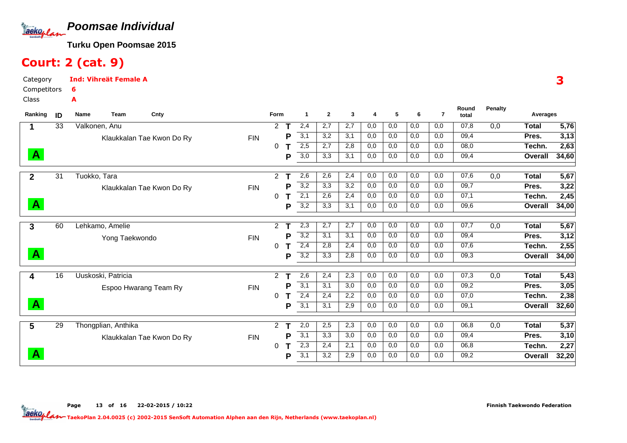

# Court: 2 (cat. 9)

Category CompetitorsInd: Vihreät Female A6A

Class

| Ranking      | ID | <b>Name</b><br>Cnty<br><b>Team</b> |            | Form                 |   | 1                | $\mathbf{2}$ | 3   | 4   | 5   | 6   | $\overline{7}$ | Round<br>total | <b>Penalty</b> | Averages     |                   |
|--------------|----|------------------------------------|------------|----------------------|---|------------------|--------------|-----|-----|-----|-----|----------------|----------------|----------------|--------------|-------------------|
|              | 33 | Valkonen, Anu                      |            | 2                    | Τ | 2,4              | 2,7          | 2,7 | 0,0 | 0,0 | 0,0 | 0,0            | 07,8           | 0,0            | <b>Total</b> | $\overline{5,76}$ |
|              |    | Klaukkalan Tae Kwon Do Ry          | <b>FIN</b> |                      | Р | $\overline{3,1}$ | 3,2          | 3,1 | 0,0 | 0,0 | 0,0 | 0,0            | 09,4           |                | Pres.        | 3,13              |
|              |    |                                    |            | 0                    |   | 2,5              | 2,7          | 2,8 | 0,0 | 0,0 | 0,0 | 0,0            | 08,0           |                | Techn.       | 2,63              |
| $\mathbf{A}$ |    |                                    |            |                      | P | 3,0              | 3,3          | 3,1 | 0,0 | 0,0 | 0,0 | 0,0            | 09,4           |                | Overall      | 34,60             |
| $\mathbf{2}$ | 31 | Tuokko, Tara                       |            | $\overline{2}$       |   | 2,6              | 2,6          | 2,4 | 0,0 | 0,0 | 0,0 | 0,0            | 07,6           | 0,0            | <b>Total</b> | 5,67              |
|              |    | Klaukkalan Tae Kwon Do Ry          | <b>FIN</b> |                      | Р | 3,2              | 3,3          | 3,2 | 0,0 | 0,0 | 0,0 | 0,0            | 09,7           |                | Pres.        | 3,22              |
|              |    |                                    |            | 0                    |   | $\overline{2,1}$ | 2,6          | 2,4 | 0,0 | 0,0 | 0,0 | 0,0            | 07,1           |                | Techn.       | 2,45              |
| $\mathbf{A}$ |    |                                    |            |                      | P | 3,2              | 3,3          | 3,1 | 0,0 | 0,0 | 0,0 | 0,0            | 09,6           |                | Overall      | 34,00             |
| 3            | 60 | Lehkamo, Amelie                    |            | $\overline{2}$       |   | 2,3              | 2,7          | 2,7 | 0,0 | 0,0 | 0,0 | 0,0            | 07,7           | 0,0            | <b>Total</b> | 5,67              |
|              |    | Yong Taekwondo                     | <b>FIN</b> |                      | P | 3,2              | 3,1          | 3,1 | 0,0 | 0,0 | 0,0 | 0,0            | 09,4           |                | Pres.        | 3,12              |
|              |    |                                    |            | 0                    | т | 2,4              | 2,8          | 2,4 | 0,0 | 0,0 | 0,0 | 0,0            | 07,6           |                | Techn.       | 2,55              |
| $\mathbf{A}$ |    |                                    |            |                      | Р | $\overline{3,2}$ | 3,3          | 2,8 | 0,0 | 0,0 | 0,0 | 0,0            | 09,3           |                | Overall      | 34,00             |
| 4            | 16 | Uuskoski, Patricia                 |            | 2                    |   | 2,6              | 2,4          | 2,3 | 0,0 | 0,0 | 0,0 | 0,0            | 07,3           | 0,0            | <b>Total</b> | 5,43              |
|              |    | Espoo Hwarang Team Ry              | <b>FIN</b> |                      | Р | 3,1              | 3,1          | 3,0 | 0,0 | 0,0 | 0,0 | 0,0            | 09,2           |                | Pres.        | 3,05              |
|              |    |                                    |            | 0                    |   | 2,4              | 2,4          | 2,2 | 0,0 | 0,0 | 0,0 | 0,0            | 07,0           |                | Techn.       | 2,38              |
| $\mathbf{A}$ |    |                                    |            |                      | Р | 3,1              | 3,1          | 2,9 | 0,0 | 0,0 | 0,0 | 0,0            | 09,1           |                | Overall      | 32,60             |
| 5            | 29 | Thongplian, Anthika                |            | $\mathbf{2}^{\circ}$ |   | 2,0              | 2,5          | 2,3 | 0,0 | 0,0 | 0,0 | 0,0            | 06,8           | 0,0            | <b>Total</b> | 5,37              |
|              |    | Klaukkalan Tae Kwon Do Ry          | <b>FIN</b> |                      | Р | 3,1              | 3,3          | 3,0 | 0,0 | 0,0 | 0,0 | 0,0            | 09,4           |                | Pres.        | 3,10              |
|              |    |                                    |            | 0                    |   | $\overline{2,3}$ | 2,4          | 2,1 | 0,0 | 0,0 | 0,0 | 0,0            | 06,8           |                | Techn.       | 2,27              |
| A            |    |                                    |            |                      | Р | 3,1              | 3,2          | 2,9 | 0,0 | 0,0 | 0,0 | 0,0            | 09,2           |                | Overall      | 32,20             |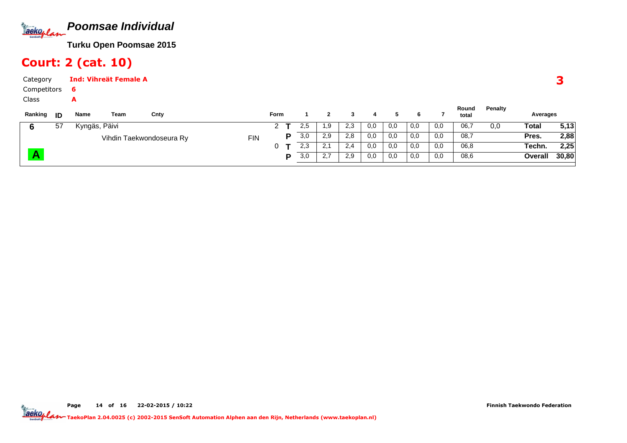

# Court: 2 (cat. 10)

| Category      | <b>Ind: Vihreät Female A</b> |      |      |             |     |     |     |     |          |     |     |                |                |          |
|---------------|------------------------------|------|------|-------------|-----|-----|-----|-----|----------|-----|-----|----------------|----------------|----------|
| Competitors   | -6                           |      |      |             |     |     |     |     |          |     |     |                |                |          |
| Class         | A                            |      |      |             |     |     |     |     |          |     |     |                |                |          |
| Ranking<br>ID | Name                         | Team | Cnty | <b>Form</b> |     |     |     |     |          | 6   |     | Round<br>total | <b>Penalty</b> | Averages |
| 57            | Kyngäs, Päivi                |      |      |             | 2,5 | . 9 | 2,3 | 0,0 | $_{0,0}$ | 0,0 | 0,0 | 06,7           | 0,0            | Total    |

| 57 | Kyngäs, Päivi            |     | - | ົ<br>د.2 | 9. ا                        | 2,3 | 0,0 | 0,0 | 0,0 | 0,0 | 06,7 | 0,0 | Total   | 5,13  |
|----|--------------------------|-----|---|----------|-----------------------------|-----|-----|-----|-----|-----|------|-----|---------|-------|
|    | Vihdin Taekwondoseura Ry | FIN |   | 3,0      | 2,9                         | 2,8 | 0,0 | 0,0 | 0,0 | 0,0 | 08,7 |     | Pres.   | 2,88  |
|    |                          |     |   | 2,3      | <b>L</b>                    | 2,4 | 0,0 | 0,0 | 0,0 | 0,0 | 06,8 |     | Techn.  | 2,25  |
|    |                          |     |   | 3,0      | $\sim$ $\sim$<br><u>. .</u> | 2,9 | 0,0 | 0,0 | 0,0 | 0,0 | 08,6 |     | Overall | 30,80 |
|    |                          |     |   |          |                             |     |     |     |     |     |      |     |         |       |

3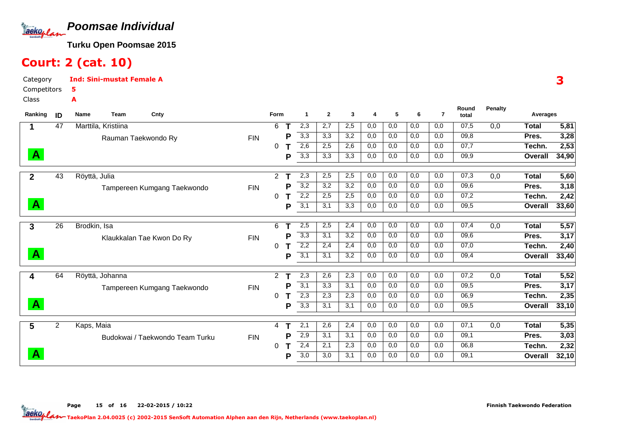

# Court: 2 (cat. 10)

A

Category CompetitorsInd: Sini-mustat Female A5

Class

| Ranking      | ID             | Name                | Team | Cnty                            |            | Form                 |   | -1  | $\mathbf{2}$ | 3   | 4   | 5   | 6   | 7   | Round<br>total | <b>Penalty</b> | Averages     |       |
|--------------|----------------|---------------------|------|---------------------------------|------------|----------------------|---|-----|--------------|-----|-----|-----|-----|-----|----------------|----------------|--------------|-------|
| 1            | 47             | Marttila, Kristiina |      |                                 |            | 6                    |   | 2,3 | 2,7          | 2,5 | 0,0 | 0,0 | 0,0 | 0,0 | 07,5           | 0,0            | Total        | 5,81  |
|              |                |                     |      | Rauman Taekwondo Ry             | <b>FIN</b> |                      | P | 3,3 | 3,3          | 3,2 | 0,0 | 0,0 | 0,0 | 0,0 | 09,8           |                | Pres.        | 3,28  |
|              |                |                     |      |                                 |            | 0                    |   | 2,6 | 2,5          | 2,6 | 0,0 | 0,0 | 0,0 | 0,0 | 07,7           |                | Techn.       | 2,53  |
| $\mathbf{A}$ |                |                     |      |                                 |            |                      | P | 3,3 | 3,3          | 3,3 | 0,0 | 0,0 | 0,0 | 0,0 | 09,9           |                | Overall      | 34,90 |
| $\mathbf{2}$ | 43             | Röyttä, Julia       |      |                                 |            | $\overline{2}$       |   | 2,3 | 2,5          | 2,5 | 0,0 | 0,0 | 0,0 | 0,0 | 07,3           | 0,0            | <b>Total</b> | 5,60  |
|              |                |                     |      | Tampereen Kumgang Taekwondo     | <b>FIN</b> |                      | P | 3,2 | 3,2          | 3,2 | 0,0 | 0,0 | 0,0 | 0,0 | 09,6           |                | Pres.        | 3,18  |
|              |                |                     |      |                                 |            | 0                    |   | 2,2 | 2,5          | 2,5 | 0,0 | 0,0 | 0,0 | 0,0 | 07,2           |                | Techn.       | 2,42  |
| $\mathbf{A}$ |                |                     |      |                                 |            |                      | P | 3,1 | 3,1          | 3,3 | 0,0 | 0,0 | 0,0 | 0,0 | 09,5           |                | Overall      | 33,60 |
| 3            | 26             | Brodkin, Isa        |      |                                 |            | 6                    |   | 2,5 | 2,5          | 2,4 | 0,0 | 0,0 | 0,0 | 0,0 | 07,4           | 0,0            | <b>Total</b> | 5,57  |
|              |                |                     |      | Klaukkalan Tae Kwon Do Ry       | <b>FIN</b> |                      | P | 3,3 | 3,1          | 3,2 | 0,0 | 0,0 | 0,0 | 0,0 | 09,6           |                | Pres.        | 3,17  |
|              |                |                     |      |                                 |            | 0                    |   | 2,2 | 2,4          | 2,4 | 0,0 | 0,0 | 0,0 | 0,0 | 07,0           |                | Techn.       | 2,40  |
| $\mathbf{A}$ |                |                     |      |                                 |            |                      | P | 3,1 | 3,1          | 3,2 | 0,0 | 0,0 | 0,0 | 0,0 | 09,4           |                | Overall      | 33,40 |
| 4            | 64             | Röyttä, Johanna     |      |                                 |            | $\mathbf{2}^{\circ}$ | т | 2,3 | 2,6          | 2,3 | 0,0 | 0,0 | 0,0 | 0,0 | 07,2           | 0,0            | <b>Total</b> | 5,52  |
|              |                |                     |      | Tampereen Kumgang Taekwondo     | <b>FIN</b> |                      | P | 3,1 | 3,3          | 3,1 | 0,0 | 0,0 | 0,0 | 0,0 | 09,5           |                | Pres.        | 3,17  |
|              |                |                     |      |                                 |            | 0                    |   | 2,3 | 2,3          | 2,3 | 0,0 | 0,0 | 0,0 | 0,0 | 06,9           |                | Techn.       | 2,35  |
| $\mathbf{A}$ |                |                     |      |                                 |            |                      | P | 3,3 | 3,1          | 3,1 | 0,0 | 0,0 | 0,0 | 0,0 | 09,5           |                | Overall      | 33,10 |
| 5            | $\overline{2}$ | Kaps, Maia          |      |                                 |            | 4                    |   | 2,1 | 2,6          | 2,4 | 0,0 | 0,0 | 0,0 | 0,0 | 07,1           | 0,0            | <b>Total</b> | 5,35  |
|              |                |                     |      | Budokwai / Taekwondo Team Turku | <b>FIN</b> |                      | P | 2,9 | 3,1          | 3,1 | 0,0 | 0,0 | 0,0 | 0,0 | 09,1           |                | Pres.        | 3,03  |
|              |                |                     |      |                                 |            | 0                    |   | 2,4 | 2,1          | 2,3 | 0,0 | 0,0 | 0,0 | 0,0 | 06,8           |                | Techn.       | 2,32  |
| $\mathbf{A}$ |                |                     |      |                                 |            |                      | P | 3,0 | 3,0          | 3,1 | 0,0 | 0,0 | 0,0 | 0,0 | 09,1           |                | Overall      | 32,10 |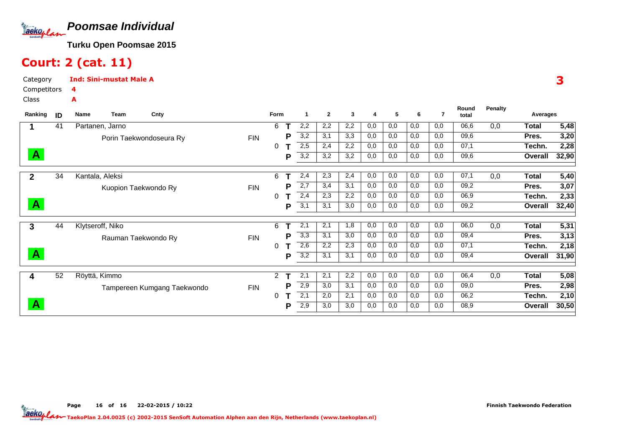

# Court: 2 (cat. 11)

A

Category CompetitorsInd: Sini-mustat Male A4

Class

| Ranking      | ID | <b>Name</b>      | <b>Team</b>          | Cnty                        |            | Form           |   | -1  | $\mathbf{2}$ | 3   | 4   | 5   | 6   | 7   | Round<br>total | <b>Penalty</b> | Averages       |       |
|--------------|----|------------------|----------------------|-----------------------------|------------|----------------|---|-----|--------------|-----|-----|-----|-----|-----|----------------|----------------|----------------|-------|
|              | 41 | Partanen, Jarno  |                      |                             |            | 6              |   | 2,2 | 2,2          | 2,2 | 0,0 | 0,0 | 0,0 | 0,0 | 06,6           | 0,0            | <b>Total</b>   | 5,48  |
|              |    |                  |                      | Porin Taekwondoseura Ry     | <b>FIN</b> |                | Р | 3,2 | 3,1          | 3,3 | 0,0 | 0,0 | 0,0 | 0,0 | 09,6           |                | Pres.          | 3,20  |
|              |    |                  |                      |                             |            | 0              |   | 2,5 | 2,4          | 2,2 | 0,0 | 0,0 | 0,0 | 0,0 | 07,1           |                | Techn.         | 2,28  |
| $\mathbf{A}$ |    |                  |                      |                             |            |                | Р | 3,2 | 3,2          | 3,2 | 0,0 | 0,0 | 0,0 | 0,0 | 09,6           |                | Overall        | 32,90 |
| $\mathbf{2}$ | 34 | Kantala, Aleksi  |                      |                             |            | 6              |   | 2,4 | 2,3          | 2,4 | 0,0 | 0,0 | 0,0 | 0,0 | 07,1           | 0,0            | <b>Total</b>   | 5,40  |
|              |    |                  | Kuopion Taekwondo Ry |                             | <b>FIN</b> |                | Р | 2,7 | 3,4          | 3,1 | 0,0 | 0,0 | 0,0 | 0,0 | 09,2           |                | Pres.          | 3,07  |
|              |    |                  |                      |                             |            | 0              |   | 2,4 | 2,3          | 2,2 | 0,0 | 0,0 | 0,0 | 0,0 | 06,9           |                | Techn.         | 2,33  |
| $\mathbf{A}$ |    |                  |                      |                             |            |                | Ρ | 3,1 | 3,1          | 3,0 | 0,0 | 0,0 | 0,0 | 0,0 | 09,2           |                | Overall        | 32,40 |
| 3            | 44 | Klytseroff, Niko |                      |                             |            | 6              |   | 2,1 | 2,1          | 1,8 | 0,0 | 0,0 | 0,0 | 0,0 | 06,0           | 0,0            | Total          | 5,31  |
|              |    |                  | Rauman Taekwondo Ry  |                             | <b>FIN</b> |                | Р | 3,3 | 3,1          | 3,0 | 0,0 | 0,0 | 0,0 | 0,0 | 09,4           |                | Pres.          | 3,13  |
|              |    |                  |                      |                             |            | 0              |   | 2,6 | 2,2          | 2,3 | 0,0 | 0,0 | 0,0 | 0,0 | 07,1           |                | Techn.         | 2,18  |
| $\mathbf{A}$ |    |                  |                      |                             |            |                | Ρ | 3,2 | 3,1          | 3,1 | 0,0 | 0,0 | 0,0 | 0,0 | 09,4           |                | Overall        | 31,90 |
| 4            | 52 | Röyttä, Kimmo    |                      |                             |            | $\overline{2}$ |   | 2,1 | 2,1          | 2,2 | 0,0 | 0,0 | 0,0 | 0,0 | 06,4           | 0,0            | Total          | 5,08  |
|              |    |                  |                      | Tampereen Kumgang Taekwondo | <b>FIN</b> |                | Р | 2,9 | 3,0          | 3,1 | 0,0 | 0,0 | 0,0 | 0,0 | 09,0           |                | Pres.          | 2,98  |
|              |    |                  |                      |                             |            | 0              |   | 2,1 | 2,0          | 2,1 | 0,0 | 0,0 | 0,0 | 0,0 | 06,2           |                | Techn.         | 2,10  |
| $\mathbf{A}$ |    |                  |                      |                             |            |                | Р | 2,9 | 3,0          | 3,0 | 0,0 | 0,0 | 0,0 | 0,0 | 08,9           |                | <b>Overall</b> | 30,50 |
|              |    |                  |                      |                             |            |                |   |     |              |     |     |     |     |     |                |                |                |       |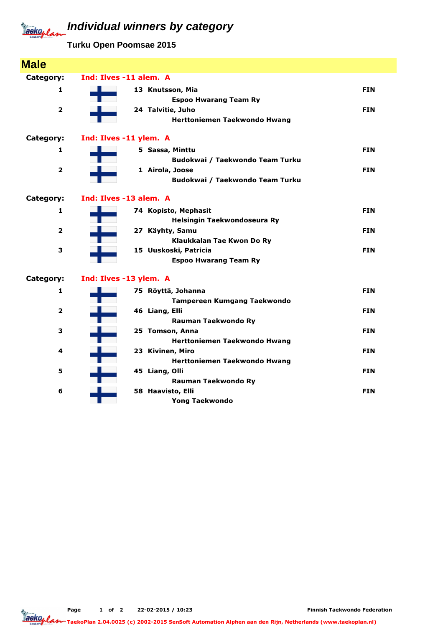#### **Individual winners by category** Jackoplan

**Turku Open Poomsae 2015**

| <b>Male</b>             |                        |                                    |            |
|-------------------------|------------------------|------------------------------------|------------|
| Category:               | Ind: Ilves -11 alem. A |                                    |            |
| 1                       | 13 Knutsson, Mia       |                                    | <b>FIN</b> |
|                         |                        | <b>Espoo Hwarang Team Ry</b>       |            |
| $\overline{\mathbf{2}}$ | 24 Talvitie, Juho      |                                    | <b>FIN</b> |
|                         |                        | Herttoniemen Taekwondo Hwang       |            |
| Category:               | Ind: Ilves -11 ylem. A |                                    |            |
| 1                       | 5 Sassa, Minttu        |                                    | <b>FIN</b> |
|                         |                        | Budokwai / Taekwondo Team Turku    |            |
| $\overline{\mathbf{2}}$ | 1 Airola, Joose        |                                    | <b>FIN</b> |
|                         |                        | Budokwai / Taekwondo Team Turku    |            |
| Category:               | Ind: Ilves -13 alem. A |                                    |            |
| $\mathbf{1}$            | 74 Kopisto, Mephasit   |                                    | <b>FIN</b> |
|                         |                        | Helsingin Taekwondoseura Ry        |            |
| $\overline{\mathbf{2}}$ | 27 Käyhty, Samu        |                                    | <b>FIN</b> |
|                         |                        | Klaukkalan Tae Kwon Do Ry          |            |
| 3                       | 15 Uuskoski, Patricia  |                                    | <b>FIN</b> |
|                         |                        | <b>Espoo Hwarang Team Ry</b>       |            |
| Category:               | Ind: Ilves -13 ylem. A |                                    |            |
| $\mathbf{1}$            | 75 Röyttä, Johanna     |                                    | <b>FIN</b> |
|                         |                        | <b>Tampereen Kumgang Taekwondo</b> |            |
| $\overline{\mathbf{2}}$ | 46 Liang, Elli         |                                    | <b>FIN</b> |
|                         |                        | Rauman Taekwondo Ry                |            |
| 3                       | 25 Tomson, Anna        |                                    | <b>FIN</b> |
|                         |                        | Herttoniemen Taekwondo Hwang       |            |
| 4                       | 23 Kivinen, Miro       |                                    | <b>FIN</b> |
| 5                       | 45 Liang, Olli         | Herttoniemen Taekwondo Hwang       |            |
|                         |                        | <b>Rauman Taekwondo Ry</b>         | <b>FIN</b> |
| 6                       | 58 Haavisto, Elli      |                                    | <b>FIN</b> |
|                         |                        | <b>Yong Taekwondo</b>              |            |
|                         |                        |                                    |            |

Page 1 of 2 22-02-2015 / 10:23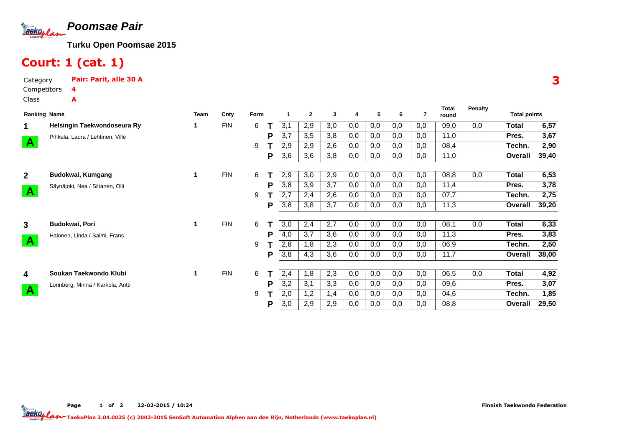

# Court: 1 (cat. 1)

Category Pair: Parit, alle 30 ACompetitorsClass4A

| <b>Ranking Name</b> |                                  | <b>Team</b> | Cnty       | Form |   |                  | $\mathbf{2}$ | 3   | 4   | 5   | 6   |     | Total<br>round | <b>Penalty</b> | <b>Total points</b> |       |
|---------------------|----------------------------------|-------------|------------|------|---|------------------|--------------|-----|-----|-----|-----|-----|----------------|----------------|---------------------|-------|
| 1                   | Helsingin Taekwondoseura Ry      |             | <b>FIN</b> | 6    |   | 3,1              | 2,9          | 3,0 | 0,0 | 0,0 | 0,0 | 0,0 | 09,0           | 0,0            | Total               | 6,57  |
|                     | Pihkala, Laura / Lehtinen, Ville |             |            |      | P | 3,7              | 3,5          | 3,8 | 0,0 | 0,0 | 0,0 | 0,0 | 11,0           |                | Pres.               | 3,67  |
| $\mathbf{A}$        |                                  |             |            | 9    |   | 2,9              | 2,9          | 2,6 | 0,0 | 0,0 | 0,0 | 0,0 | 08,4           |                | Techn.              | 2,90  |
|                     |                                  |             |            |      | Р | 3,6              | 3,6          | 3,8 | 0,0 | 0,0 | 0,0 | 0,0 | 11,0           |                | Overall             | 39,40 |
| 2 <sup>1</sup>      | Budokwai, Kumgang                | 1           | <b>FIN</b> | 6    |   | 2,9              | 3,0          | 2,9 | 0,0 | 0,0 | 0,0 | 0,0 | 08,8           | 0,0            | Total               | 6,53  |
|                     | Säynäjoki, Nea / Siltanen, Olli  |             |            |      | Р | 3,8              | 3,9          | 3.7 | 0,0 | 0,0 | 0,0 | 0,0 | 11,4           |                | Pres.               | 3,78  |
| $\mathbf{A}$        |                                  |             |            | 9    |   | 2,7              | 2,4          | 2,6 | 0,0 | 0,0 | 0,0 | 0,0 | 07,7           |                | Techn.              | 2,75  |
|                     |                                  |             |            |      | Р | 3,8              | 3,8          | 3,7 | 0,0 | 0,0 | 0,0 | 0,0 | 11,3           |                | Overall             | 39,20 |
| $\mathbf{3}$        | Budokwai, Pori                   | 1           | <b>FIN</b> | 6    |   | 3,0              | 2,4          | 2,7 | 0,0 | 0,0 | 0,0 | 0,0 | 08,1           | 0,0            | Total               | 6,33  |
|                     |                                  |             |            |      | P | 4,0              | 3,7          | 3,6 | 0,0 | 0,0 | 0,0 | 0,0 | 11,3           |                | Pres.               | 3,83  |
| $\mathbf{A}$        | Halonen, Linda / Salmi, Frans    |             |            | 9    |   | 2,8              | 1,8          | 2,3 | 0,0 | 0,0 | 0,0 | 0,0 | 06,9           |                | Techn.              | 2,50  |
|                     |                                  |             |            |      | P | 3,8              | 4,3          | 3,6 | 0,0 | 0,0 | 0,0 | 0,0 | 11,7           |                | Overall             | 38,00 |
|                     |                                  |             |            |      |   |                  |              |     |     |     |     |     |                |                |                     |       |
| 4                   | Soukan Taekwondo Klubi           | 1           | <b>FIN</b> | 6    |   | 2,4              | 1,8          | 2,3 | 0,0 | 0,0 | 0,0 | 0,0 | 06,5           | 0,0            | Total               | 4,92  |
|                     | Lönnberg, Minna / Karkola, Antti |             |            |      | P | $\overline{3,2}$ | 3,1          | 3,3 | 0,0 | 0,0 | 0,0 | 0,0 | 09,6           |                | Pres.               | 3,07  |
| $\mathbf{A}$        |                                  |             |            | 9    |   | 2,0              | 1,2          | 1,4 | 0,0 | 0,0 | 0,0 | 0,0 | 04,6           |                | Techn.              | 1,85  |
|                     |                                  |             |            |      | Р | 3,0              | 2,9          | 2,9 | 0,0 | 0,0 | 0,0 | 0,0 | 08,8           |                | Overall             | 29,50 |

**Total**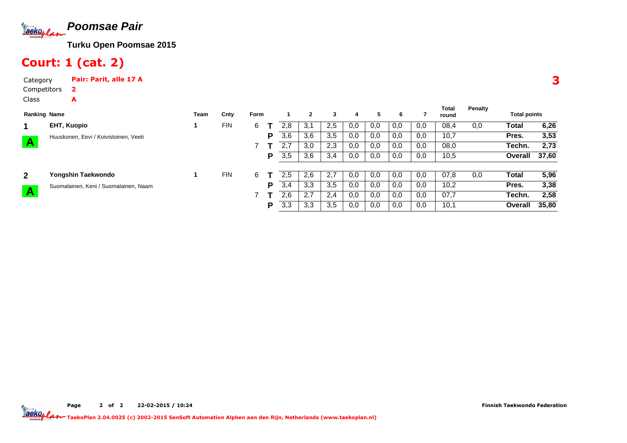

# Court: 1 (cat. 2)

A

Category Pair: Parit, alle 17 ACompetitors2

Class

| <b>Ranking Name</b> |                                       | Team | Cnty       | <b>Form</b> |   |     | $\mathbf{2}$ | 3   | 4   | 5.  | 6   |     | Total<br>round | Penalty | <b>Total points</b> |       |
|---------------------|---------------------------------------|------|------------|-------------|---|-----|--------------|-----|-----|-----|-----|-----|----------------|---------|---------------------|-------|
| 1                   | EHT, Kuopio                           |      | <b>FIN</b> | 6           |   | 2.8 | 3,1          | 2,5 | 0,0 | 0,0 | 0,0 | 0,0 | 08,4           | 0,0     | Total               | 6,26  |
|                     | Huuskonen, Eevi / Koivistoinen, Veeti |      |            |             | Р | 3,6 | 3,6          | 3,5 | 0,0 | 0,0 | 0,0 | 0,0 | 10,7           |         | Pres.               | 3,53  |
| $\mathbf{A}$        |                                       |      |            |             |   | 2.7 | 3,0          | 2,3 | 0,0 | 0,0 | 0,0 | 0,0 | 08,0           |         | Techn.              | 2,73  |
|                     |                                       |      |            |             | Р | 3,5 | 3,6          | 3,4 | 0,0 | 0,0 | 0,0 | 0,0 | 10,5           |         | Overall             | 37,60 |
| $\mathbf{2}$        | Yongshin Taekwondo                    |      | <b>FIN</b> | 6           |   | 2.5 | 2,6          | 2.7 | 0,0 | 0,0 | 0,0 | 0,0 | 07,8           | 0,0     | Total               | 5,96  |
|                     | Suomalainen, Keni / Suomalainen, Naam |      |            |             | P | 3,4 | 3,3          | 3,5 | 0,0 | 0,0 | 0,0 | 0,0 | 10,2           |         | Pres.               | 3,38  |
| A                   |                                       |      |            |             |   | 2,6 | 2.7          | 2,4 | 0,0 | 0,0 | 0,0 | 0,0 | 07,7           |         | Techn.              | 2,58  |
|                     |                                       |      |            |             | Р | 3,3 | 3,3          | 3,5 | 0,0 | 0,0 | 0,0 | 0,0 | 10,1           |         | Overall             | 35,80 |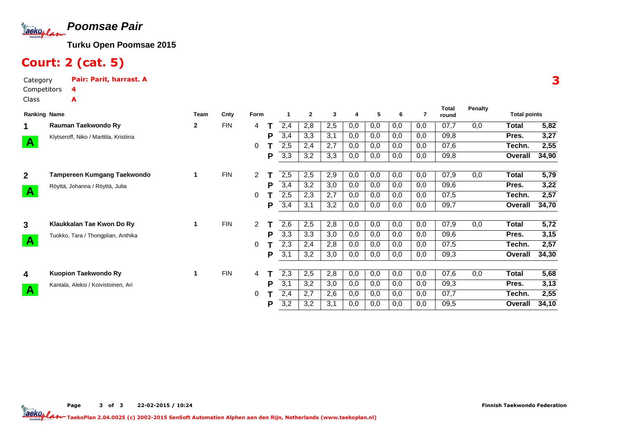

# Court: 2 (cat. 5)

Category Pair: Parit, harrast. ACompetitors4A

Class

| <b>Ranking Name</b> |                                        | Team | Cnty       | Form |   |     | $\mathbf{2}$ | 3   | 4        | 5   | 6   |     | <b>Total</b><br>round | <b>Penalty</b> | <b>Total points</b> |       |
|---------------------|----------------------------------------|------|------------|------|---|-----|--------------|-----|----------|-----|-----|-----|-----------------------|----------------|---------------------|-------|
| 1                   | Rauman Taekwondo Ry                    | 2    | <b>FIN</b> | 4    |   | 2,4 | 2,8          | 2,5 | 0,0      | 0,0 | 0,0 | 0,0 | 07,7                  | 0,0            | Total               | 5,82  |
|                     | Klytseroff, Niko / Marttila, Kristiina |      |            |      | P | 3,4 | 3,3          | 3,1 | 0,0      | 0,0 | 0,0 | 0,0 | 09,8                  |                | Pres.               | 3,27  |
| $\mathbf{A}$        |                                        |      |            | 0    |   | 2,5 | 2,4          | 2,7 | 0,0      | 0,0 | 0,0 | 0,0 | 07,6                  |                | Techn.              | 2,55  |
|                     |                                        |      |            |      | Р | 3,3 | 3,2          | 3,3 | 0,0      | 0,0 | 0,0 | 0,0 | 09,8                  |                | Overall             | 34,90 |
| 2 <sup>1</sup>      | Tampereen Kumgang Taekwondo            |      | <b>FIN</b> | 2    |   | 2,5 | 2,5          | 2,9 | 0,0      | 0,0 | 0,0 | 0,0 | 07,9                  | 0,0            | Total               | 5,79  |
|                     | Röyttä, Johanna / Röyttä, Julia        |      |            |      | Р | 3,4 | 3,2          | 3,0 | 0,0      | 0,0 | 0,0 | 0,0 | 09,6                  |                | Pres.               | 3,22  |
| $\mathbf{A}$        |                                        |      |            | 0    |   | 2,5 | 2,3          | 2,7 | 0,0      | 0,0 | 0,0 | 0,0 | 07,5                  |                | Techn.              | 2,57  |
|                     |                                        |      |            |      | P | 3,4 | 3,1          | 3,2 | $_{0,0}$ | 0.0 | 0,0 | 0,0 | 09,7                  |                | Overall             | 34,70 |
| 3 <sup>1</sup>      | Klaukkalan Tae Kwon Do Ry              |      | <b>FIN</b> | 2    |   | 2,6 | 2,5          | 2,8 | 0,0      | 0,0 | 0,0 | 0,0 | 07,9                  | 0,0            | Total               | 5,72  |
|                     | Tuokko, Tara / Thongplian, Anthika     |      |            |      | P | 3,3 | 3,3          | 3,0 | 0,0      | 0,0 | 0,0 | 0,0 | 09,6                  |                | Pres.               | 3,15  |
| $\mathbf{A}$        |                                        |      |            | 0    |   | 2,3 | 2,4          | 2,8 | 0,0      | 0,0 | 0,0 | 0,0 | 07,5                  |                | Techn.              | 2,57  |
|                     |                                        |      |            |      | P | 3,1 | 3,2          | 3,0 | $_{0,0}$ | 0,0 | 0,0 | 0,0 | 09,3                  |                | Overall             | 34,30 |
| 4                   | Kuopion Taekwondo Ry                   |      | <b>FIN</b> | 4    |   | 2,3 | 2,5          | 2,8 | 0,0      | 0,0 | 0,0 | 0,0 | 07,6                  | 0,0            | Total               | 5,68  |
|                     | Kantala, Aleksi / Koivistoinen, Ari    |      |            |      | P | 3,1 | 3,2          | 3,0 | 0,0      | 0,0 | 0,0 | 0,0 | 09,3                  |                | Pres.               | 3,13  |
| $\mathbf{A}$        |                                        |      |            | 0    |   | 2,4 | 2,7          | 2,6 | 0,0      | 0,0 | 0,0 | 0,0 | 07,7                  |                | Techn.              | 2,55  |
|                     |                                        |      |            |      | Р | 3,2 | 3,2          | 3,1 | 0,0      | 0,0 | 0,0 | 0,0 | 09,5                  |                | Overall             | 34,10 |

Page 3 of 3 22-02-2015 / 10:24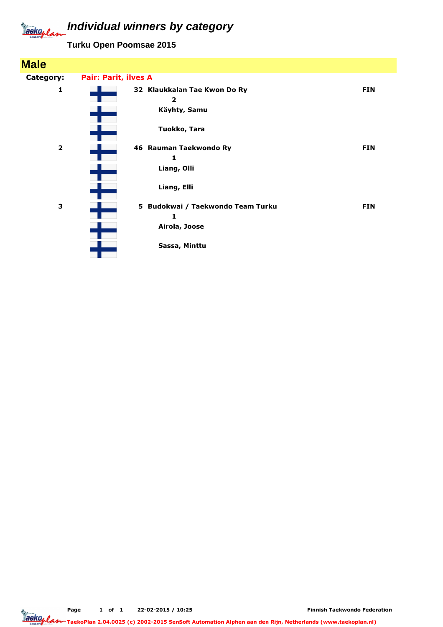#### **Individual winners by category** Jackoplan

**Turku Open Poomsae 2015**

| <b>Male</b>    |                             |                                                |            |
|----------------|-----------------------------|------------------------------------------------|------------|
| Category:      | <b>Pair: Parit, ilves A</b> |                                                |            |
| 1              |                             | 32 Klaukkalan Tae Kwon Do Ry<br>$\overline{2}$ | <b>FIN</b> |
|                |                             | Käyhty, Samu                                   |            |
|                |                             | Tuokko, Tara                                   |            |
| $\overline{2}$ |                             | 46 Rauman Taekwondo Ry<br>1                    | <b>FIN</b> |
|                |                             | Liang, Olli                                    |            |
|                |                             | Liang, Elli                                    |            |
| 3              |                             | Budokwai / Taekwondo Team Turku<br>5<br>1      | <b>FIN</b> |
|                |                             | Airola, Joose                                  |            |
|                |                             | Sassa, Minttu                                  |            |

Page 1 of 1 22-02-2015 / 10:25

Finnish Taekwondo Federation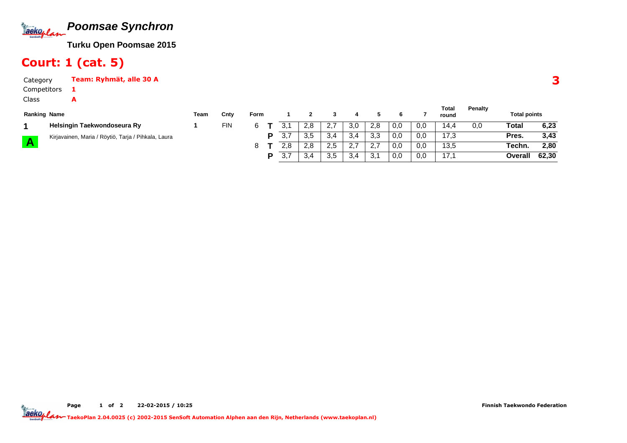

#### Court: 1 (cat. 5)

1A

CategoryTeam: Ryhmät, alle 30 A

Competitors

Class

| <b>Ranking Name</b> |                                                     | Team | Cnty | Form |     |     |               |     |     |     |     | <b>Total</b><br>round | Penalty | <b>Total points</b> |       |
|---------------------|-----------------------------------------------------|------|------|------|-----|-----|---------------|-----|-----|-----|-----|-----------------------|---------|---------------------|-------|
|                     | Helsingin Taekwondoseura Ry                         |      | FIN  |      |     | 2.8 | ے.            | 3,0 | 2.8 | 0,0 | 0,0 | 14.4                  | 0,0     | Total               | 6,23  |
|                     | Kirjavainen, Maria / Röytiö, Tarja / Pihkala, Laura |      |      |      | ບ.  | 3.5 | $\sim$<br>3.4 | 3,4 | 3,3 | 0,0 | 0,0 | 17.3                  |         | Pres.               | 3,43  |
|                     |                                                     |      |      |      | 2.8 | 2.8 | 2.5           | 2.7 | 2.7 | 0,0 | 0,0 | 13,5                  |         | Techn.              | 2,80  |
|                     |                                                     |      |      |      | J.  | −.ب | 3,5           | 3,4 | 3.1 | 0,0 | 0,0 | 17.1                  |         | Overall             | 62,30 |

3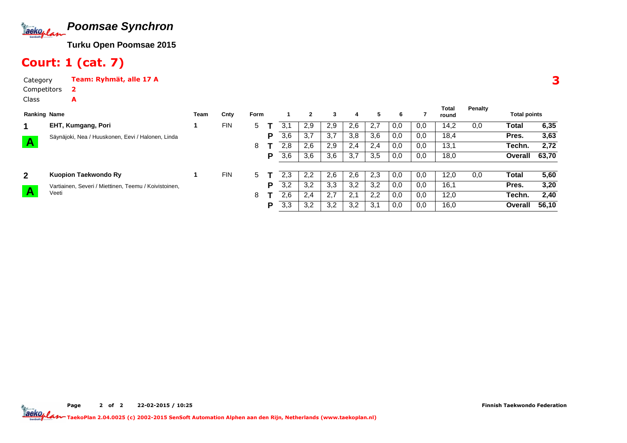

#### Court: 1 (cat. 7)

A

Category Team: Ryhmät, alle 17 A2

Competitors

Class

| <b>Ranking Name</b> |                                                       | Team | Cnty       | <b>Form</b> |   |     | $\mathbf{2}$ | 3   | 4   | 5   | 6   |     | Total<br>round | Penalty | <b>Total points</b> |       |
|---------------------|-------------------------------------------------------|------|------------|-------------|---|-----|--------------|-----|-----|-----|-----|-----|----------------|---------|---------------------|-------|
|                     | EHT, Kumgang, Pori                                    |      | <b>FIN</b> | 5           |   |     | 2,9          | 2.9 | 2,6 | 2,7 | 0,0 | 0,0 | 14,2           | 0,0     | Total               | 6,35  |
|                     | Säynäjoki, Nea / Huuskonen, Eevi / Halonen, Linda     |      |            |             | Р | 3,6 | 3,7          | 3,7 | 3,8 | 3,6 | 0,0 | 0,0 | 18,4           |         | Pres.               | 3,63  |
| $\mathbf{A}$        |                                                       |      |            | 8           |   | 2.8 | 2,6          | 2,9 | 2,4 | 2.4 | 0,0 | 0,0 | 13,1           |         | Techn.              | 2,72  |
|                     |                                                       |      |            |             | P | 3,6 | 3,6          | 3,6 | 3,7 | 3,5 | 0,0 | 0,0 | 18,0           |         | Overall             | 63,70 |
| $\mathbf{2}$        | Kuopion Taekwondo Ry                                  |      | <b>FIN</b> | 5           |   | 2.3 | 2,2          | 2,6 | 2,6 | 2,3 | 0,0 | 0,0 | 12,0           | 0,0     | Total               | 5,60  |
|                     | Vartiainen, Severi / Miettinen, Teemu / Koivistoinen, |      |            |             | Р | 3,2 | 3,2          | 3,3 | 3,2 | 3,2 | 0,0 | 0,0 | 16,1           |         | Pres.               | 3,20  |
| A                   | Veeti                                                 |      |            | 8           |   | 2.6 | 2,4          | 2.7 | 2,1 | 2,2 | 0,0 | 0,0 | 12,0           |         | Techn.              | 2,40  |
|                     |                                                       |      |            |             | Р | 3,3 | 3,2          | 3,2 | 3,2 | 3,1 | 0,0 | 0,0 | 16,0           |         | Overall             | 56,10 |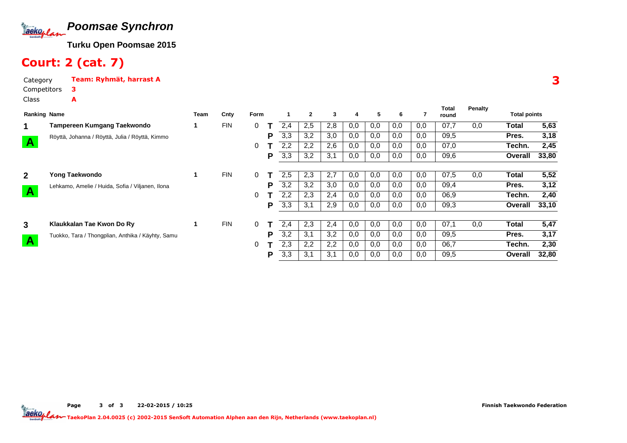

# Court: 2 (cat. 7)

A

Category Team: Ryhmät, harrast ACompetitors3

Class

| <b>Ranking Name</b>     |                                                   | Team | Cnty       | <b>Form</b>    |   |     | $\mathbf{2}$ | 3   | 4   | 5   | 6   |     | Total<br>round | Penalty | <b>Total points</b> |       |
|-------------------------|---------------------------------------------------|------|------------|----------------|---|-----|--------------|-----|-----|-----|-----|-----|----------------|---------|---------------------|-------|
| 1                       | Tampereen Kumgang Taekwondo                       |      | <b>FIN</b> | $\overline{0}$ |   | 2,4 | 2,5          | 2,8 | 0,0 | 0,0 | 0,0 | 0,0 | 07,7           | 0,0     | Total               | 5,63  |
|                         | Röyttä, Johanna / Röyttä, Julia / Röyttä, Kimmo   |      |            |                | Р | 3,3 | 3,2          | 3,0 | 0,0 | 0,0 | 0,0 | 0,0 | 09,5           |         | Pres.               | 3,18  |
| $\mathbf{A}$            |                                                   |      |            | 0              |   | 2,2 | 2,2          | 2,6 | 0,0 | 0,0 | 0,0 | 0,0 | 07,0           |         | Techn.              | 2,45  |
|                         |                                                   |      |            |                | Р | 3,3 | 3,2          | 3,1 | 0,0 | 0,0 | 0,0 | 0,0 | 09,6           |         | Overall             | 33,80 |
| $\overline{2}$          | Yong Taekwondo                                    | 1    | <b>FIN</b> | $\Omega$       |   | 2,5 | 2,3          | 2,7 | 0,0 | 0,0 | 0,0 | 0,0 | 07,5           | 0,0     | Total               | 5,52  |
|                         | Lehkamo, Amelie / Huida, Sofia / Viljanen, Ilona  |      |            |                | Р | 3,2 | 3,2          | 3,0 | 0,0 | 0,0 | 0,0 | 0,0 | 09,4           |         | Pres.               | 3,12  |
| $\overline{\mathbf{A}}$ |                                                   |      |            | 0              |   | 2,2 | 2,3          | 2,4 | 0,0 | 0,0 | 0,0 | 0,0 | 06,9           |         | Techn.              | 2,40  |
|                         |                                                   |      |            |                | Р | 3,3 | 3,1          | 2,9 | 0,0 | 0,0 | 0,0 | 0,0 | 09,3           |         | Overall             | 33,10 |
| $\mathbf{3}$            | Klaukkalan Tae Kwon Do Ry                         | 1.   | <b>FIN</b> | 0              |   | 2,4 | 2,3          | 2,4 | 0,0 | 0,0 | 0,0 | 0,0 | 07,1           | 0,0     | Total               | 5,47  |
|                         | Tuokko, Tara / Thongplian, Anthika / Käyhty, Samu |      |            |                | Р | 3,2 | 3,1          | 3,2 | 0,0 | 0,0 | 0,0 | 0,0 | 09,5           |         | Pres.               | 3,17  |
| $\overline{A}$          |                                                   |      |            | 0              |   | 2,3 | 2,2          | 2,2 | 0,0 | 0,0 | 0,0 | 0,0 | 06,7           |         | Techn.              | 2,30  |
|                         |                                                   |      |            |                | Р | 3,3 | 3,1          | 3,1 | 0,0 | 0,0 | 0,0 | 0,0 | 09,5           |         | Overall             | 32,80 |

3